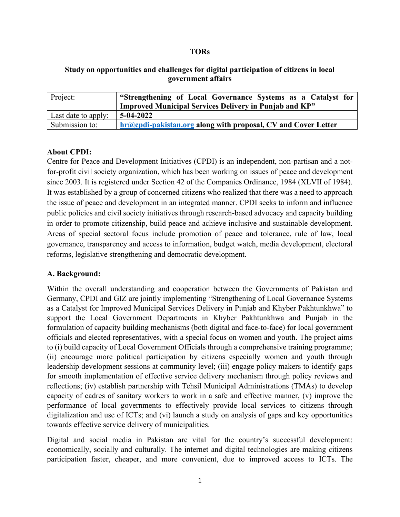#### **TORs**

### **Study on opportunities and challenges for digital participation of citizens in local government affairs**

| Project:            | "Strengthening of Local Governance Systems as a Catalyst for         |  |  |
|---------------------|----------------------------------------------------------------------|--|--|
|                     | <b>Improved Municipal Services Delivery in Punjab and KP"</b>        |  |  |
| Last date to apply: | 5-04-2022                                                            |  |  |
| Submission to:      | <b>hr@cpdi-pakistan.org along with proposal, CV and Cover Letter</b> |  |  |

#### **About CPDI:**

Centre for Peace and Development Initiatives (CPDI) is an independent, non-partisan and a notfor-profit civil society organization, which has been working on issues of peace and development since 2003. It is registered under Section 42 of the Companies Ordinance, 1984 (XLVII of 1984). It was established by a group of concerned citizens who realized that there was a need to approach the issue of peace and development in an integrated manner. CPDI seeks to inform and influence public policies and civil society initiatives through research-based advocacy and capacity building in order to promote citizenship, build peace and achieve inclusive and sustainable development. Areas of special sectoral focus include promotion of peace and tolerance, rule of law, local governance, transparency and access to information, budget watch, media development, electoral reforms, legislative strengthening and democratic development.

#### **A. Background:**

Within the overall understanding and cooperation between the Governments of Pakistan and Germany, CPDI and GIZ are jointly implementing "Strengthening of Local Governance Systems as a Catalyst for Improved Municipal Services Delivery in Punjab and Khyber Pakhtunkhwa" to support the Local Government Departments in Khyber Pakhtunkhwa and Punjab in the formulation of capacity building mechanisms (both digital and face-to-face) for local government officials and elected representatives, with a special focus on women and youth. The project aims to (i) build capacity of Local Government Officials through a comprehensive training programme; (ii) encourage more political participation by citizens especially women and youth through leadership development sessions at community level; (iii) engage policy makers to identify gaps for smooth implementation of effective service delivery mechanism through policy reviews and reflections; (iv) establish partnership with Tehsil Municipal Administrations (TMAs) to develop capacity of cadres of sanitary workers to work in a safe and effective manner, (v) improve the performance of local governments to effectively provide local services to citizens through digitalization and use of ICTs; and (vi) launch a study on analysis of gaps and key opportunities towards effective service delivery of municipalities.

Digital and social media in Pakistan are vital for the country's successful development: economically, socially and culturally. The internet and digital technologies are making citizens participation faster, cheaper, and more convenient, due to improved access to ICTs. The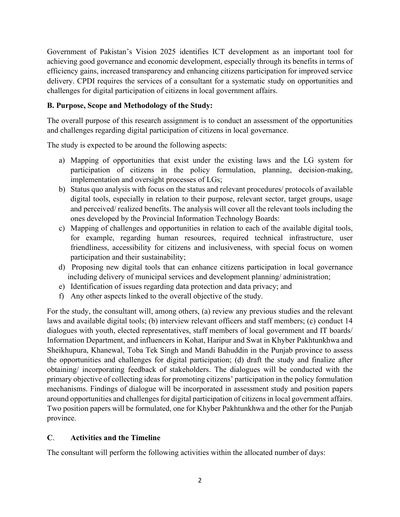Government of Pakistan's Vision 2025 identifies ICT development as an important tool for achieving good governance and economic development, especially through its benefits in terms of efficiency gains, increased transparency and enhancing citizens participation for improved service delivery. CPDI requires the services of a consultant for a systematic study on opportunities and challenges for digital participation of citizens in local government affairs.

# **B. Purpose, Scope and Methodology of the Study:**

The overall purpose of this research assignment is to conduct an assessment of the opportunities and challenges regarding digital participation of citizens in local governance.

The study is expected to be around the following aspects:

- a) Mapping of opportunities that exist under the existing laws and the LG system for participation of citizens in the policy formulation, planning, decision-making, implementation and oversight processes of LGs;
- b) Status quo analysis with focus on the status and relevant procedures/ protocols of available digital tools, especially in relation to their purpose, relevant sector, target groups, usage and perceived/ realized benefits. The analysis will cover all the relevant tools including the ones developed by the Provincial Information Technology Boards:
- c) Mapping of challenges and opportunities in relation to each of the available digital tools, for example, regarding human resources, required technical infrastructure, user friendliness, accessibility for citizens and inclusiveness, with special focus on women participation and their sustainability;
- d) Proposing new digital tools that can enhance citizens participation in local governance including delivery of municipal services and development planning/ administration;
- e) Identification of issues regarding data protection and data privacy; and
- f) Any other aspects linked to the overall objective of the study.

For the study, the consultant will, among others, (a) review any previous studies and the relevant laws and available digital tools; (b) interview relevant officers and staff members; (c) conduct 14 dialogues with youth, elected representatives, staff members of local government and IT boards/ Information Department, and influencers in Kohat, Haripur and Swat in Khyber Pakhtunkhwa and Sheikhupura, Khanewal, Toba Tek Singh and Mandi Bahuddin in the Punjab province to assess the opportunities and challenges for digital participation; (d) draft the study and finalize after obtaining/ incorporating feedback of stakeholders. The dialogues will be conducted with the primary objective of collecting ideas for promoting citizens' participation in the policy formulation mechanisms. Findings of dialogue will be incorporated in assessment study and position papers around opportunities and challenges for digital participation of citizens in local government affairs. Two position papers will be formulated, one for Khyber Pakhtunkhwa and the other for the Punjab province.

### **C**. **Activities and the Timeline**

The consultant will perform the following activities within the allocated number of days: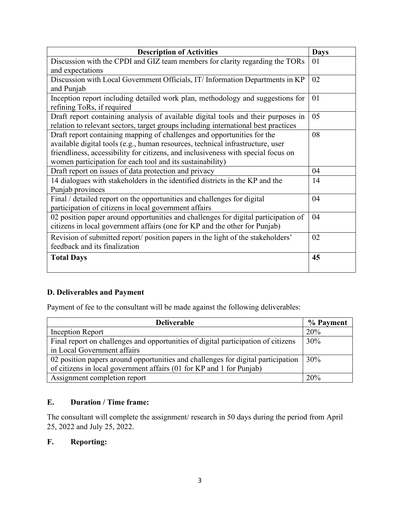| <b>Description of Activities</b>                                                   | <b>Days</b> |
|------------------------------------------------------------------------------------|-------------|
| Discussion with the CPDI and GIZ team members for clarity regarding the TORs       | 01          |
| and expectations                                                                   |             |
| Discussion with Local Government Officials, IT/ Information Departments in KP      | 02          |
| and Punjab                                                                         |             |
| Inception report including detailed work plan, methodology and suggestions for     | 01          |
| refining ToRs, if required                                                         |             |
| Draft report containing analysis of available digital tools and their purposes in  | 05          |
| relation to relevant sectors, target groups including international best practices |             |
| Draft report containing mapping of challenges and opportunities for the            | 08          |
| available digital tools (e.g., human resources, technical infrastructure, user     |             |
| friendliness, accessibility for citizens, and inclusiveness with special focus on  |             |
| women participation for each tool and its sustainability)                          |             |
| Draft report on issues of data protection and privacy                              | 04          |
| 14 dialogues with stakeholders in the identified districts in the KP and the       | 14          |
| Punjab provinces                                                                   |             |
| Final / detailed report on the opportunities and challenges for digital            | 04          |
| participation of citizens in local government affairs                              |             |
| 02 position paper around opportunities and challenges for digital participation of | 04          |
| citizens in local government affairs (one for KP and the other for Punjab)         |             |
| Revision of submitted report/position papers in the light of the stakeholders'     | 02          |
| feedback and its finalization                                                      |             |
| <b>Total Days</b>                                                                  | 45          |

# **D. Deliverables and Payment**

Payment of fee to the consultant will be made against the following deliverables:

| <b>Deliverable</b>                                                                | % Payment |
|-----------------------------------------------------------------------------------|-----------|
| Inception Report                                                                  | 20%       |
| Final report on challenges and opportunities of digital participation of citizens | 30%       |
| in Local Government affairs                                                       |           |
| 02 position papers around opportunities and challenges for digital participation  | $30\%$    |
| of citizens in local government affairs (01 for KP and 1 for Punjab)              |           |
| Assignment completion report                                                      | 20%       |

### **E. Duration / Time frame:**

The consultant will complete the assignment/ research in 50 days during the period from April 25, 2022 and July 25, 2022.

# **F. Reporting:**